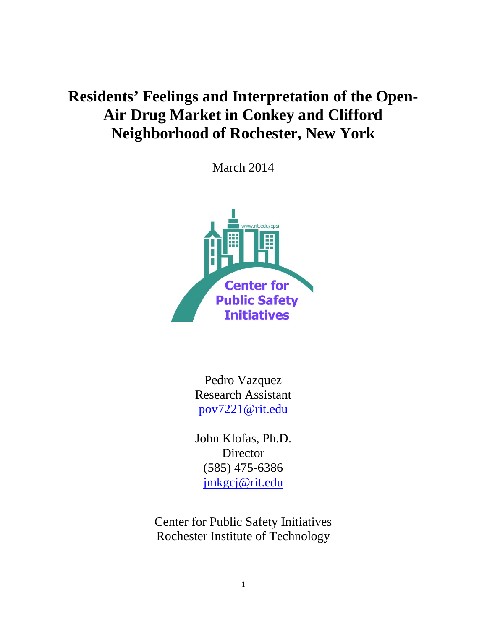# **Residents' Feelings and Interpretation of the Open-Air Drug Market in Conkey and Clifford Neighborhood of Rochester, New York**

March 2014



Pedro Vazquez Research Assistant [pov7221@rit.edu](mailto:pov7221@rit.edu)

John Klofas, Ph.D. Director (585) 475-6386 [jmkgcj@rit.edu](mailto:jmkgcj@rit.edu)

Center for Public Safety Initiatives Rochester Institute of Technology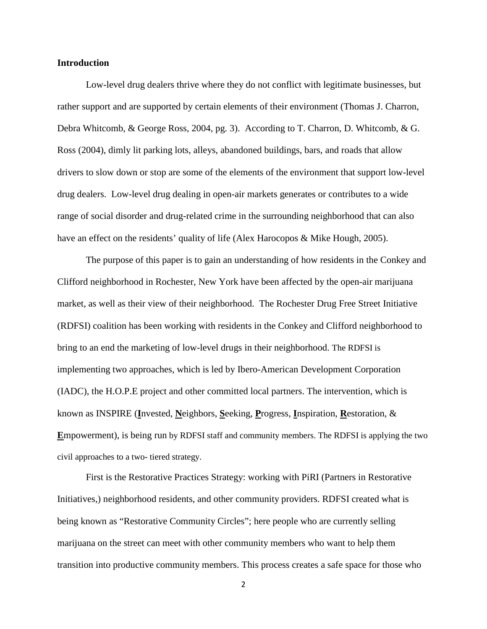### **Introduction**

Low-level drug dealers thrive where they do not conflict with legitimate businesses, but rather support and are supported by certain elements of their environment (Thomas J. Charron, Debra Whitcomb, & George Ross, 2004, pg. 3). According to T. Charron, D. Whitcomb, & G. Ross (2004), dimly lit parking lots, alleys, abandoned buildings, bars, and roads that allow drivers to slow down or stop are some of the elements of the environment that support low-level drug dealers. Low-level drug dealing in open-air markets generates or contributes to a wide range of social disorder and drug-related crime in the surrounding neighborhood that can also have an effect on the residents' quality of life (Alex Harocopos & Mike Hough, 2005).

The purpose of this paper is to gain an understanding of how residents in the Conkey and Clifford neighborhood in Rochester, New York have been affected by the open-air marijuana market, as well as their view of their neighborhood. The Rochester Drug Free Street Initiative (RDFSI) coalition has been working with residents in the Conkey and Clifford neighborhood to bring to an end the marketing of low-level drugs in their neighborhood. The RDFSI is implementing two approaches, which is led by Ibero-American Development Corporation (IADC), the H.O.P.E project and other committed local partners. The intervention, which is known as INSPIRE (**I**nvested, **N**eighbors, **S**eeking, **P**rogress, **I**nspiration, **R**estoration, & **E**mpowerment), is being run by RDFSI staff and community members. The RDFSI is applying the two civil approaches to a two- tiered strategy.

First is the Restorative Practices Strategy: working with PiRI (Partners in Restorative Initiatives,) neighborhood residents, and other community providers. RDFSI created what is being known as "Restorative Community Circles"; here people who are currently selling marijuana on the street can meet with other community members who want to help them transition into productive community members. This process creates a safe space for those who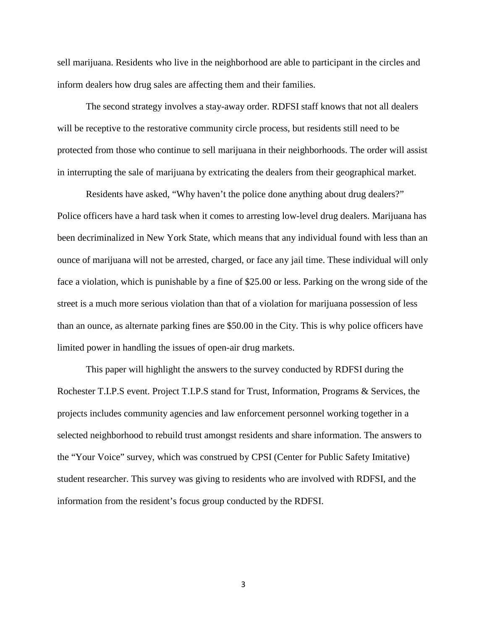sell marijuana. Residents who live in the neighborhood are able to participant in the circles and inform dealers how drug sales are affecting them and their families.

The second strategy involves a stay-away order. RDFSI staff knows that not all dealers will be receptive to the restorative community circle process, but residents still need to be protected from those who continue to sell marijuana in their neighborhoods. The order will assist in interrupting the sale of marijuana by extricating the dealers from their geographical market.

Residents have asked, "Why haven't the police done anything about drug dealers?" Police officers have a hard task when it comes to arresting low-level drug dealers. Marijuana has been decriminalized in New York State, which means that any individual found with less than an ounce of marijuana will not be arrested, charged, or face any jail time. These individual will only face a violation, which is punishable by a fine of \$25.00 or less. Parking on the wrong side of the street is a much more serious violation than that of a violation for marijuana possession of less than an ounce, as alternate parking fines are \$50.00 in the City. This is why police officers have limited power in handling the issues of open-air drug markets.

This paper will highlight the answers to the survey conducted by RDFSI during the Rochester T.I.P.S event. Project T.I.P.S stand for Trust, Information, Programs & Services, the projects includes community agencies and law enforcement personnel working together in a selected neighborhood to rebuild trust amongst residents and share information. The answers to the "Your Voice" survey, which was construed by CPSI (Center for Public Safety Imitative) student researcher. This survey was giving to residents who are involved with RDFSI, and the information from the resident's focus group conducted by the RDFSI.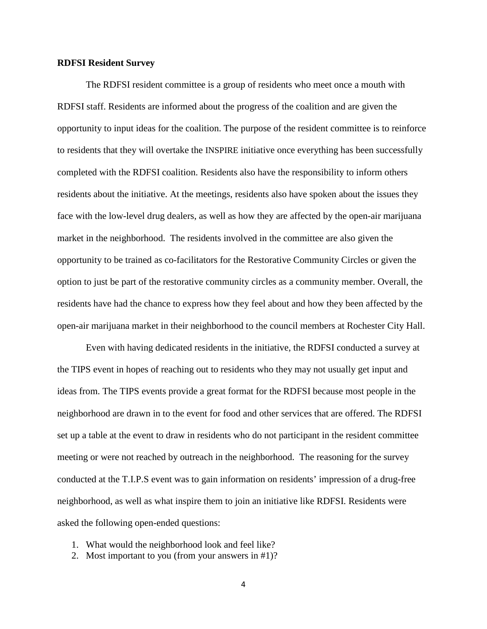#### **RDFSI Resident Survey**

The RDFSI resident committee is a group of residents who meet once a mouth with RDFSI staff. Residents are informed about the progress of the coalition and are given the opportunity to input ideas for the coalition. The purpose of the resident committee is to reinforce to residents that they will overtake the INSPIRE initiative once everything has been successfully completed with the RDFSI coalition. Residents also have the responsibility to inform others residents about the initiative. At the meetings, residents also have spoken about the issues they face with the low-level drug dealers, as well as how they are affected by the open-air marijuana market in the neighborhood. The residents involved in the committee are also given the opportunity to be trained as co-facilitators for the Restorative Community Circles or given the option to just be part of the restorative community circles as a community member. Overall, the residents have had the chance to express how they feel about and how they been affected by the open-air marijuana market in their neighborhood to the council members at Rochester City Hall.

Even with having dedicated residents in the initiative, the RDFSI conducted a survey at the TIPS event in hopes of reaching out to residents who they may not usually get input and ideas from. The TIPS events provide a great format for the RDFSI because most people in the neighborhood are drawn in to the event for food and other services that are offered. The RDFSI set up a table at the event to draw in residents who do not participant in the resident committee meeting or were not reached by outreach in the neighborhood. The reasoning for the survey conducted at the T.I.P.S event was to gain information on residents' impression of a drug-free neighborhood, as well as what inspire them to join an initiative like RDFSI. Residents were asked the following open-ended questions:

- 1. What would the neighborhood look and feel like?
- 2. Most important to you (from your answers in #1)?
	- 4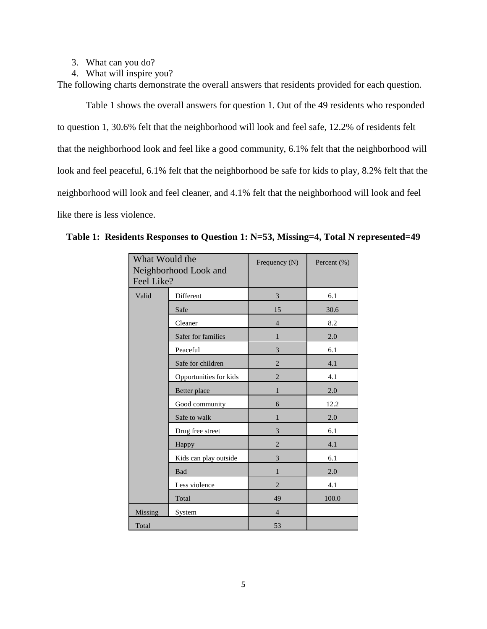- 3. What can you do?
- 4. What will inspire you?

The following charts demonstrate the overall answers that residents provided for each question.

Table 1 shows the overall answers for question 1. Out of the 49 residents who responded to question 1, 30.6% felt that the neighborhood will look and feel safe, 12.2% of residents felt that the neighborhood look and feel like a good community, 6.1% felt that the neighborhood will look and feel peaceful, 6.1% felt that the neighborhood be safe for kids to play, 8.2% felt that the neighborhood will look and feel cleaner, and 4.1% felt that the neighborhood will look and feel like there is less violence.

| What Would the<br>Neighborhood Look and<br>Feel Like? |                        | Frequency (N)  | Percent (%) |
|-------------------------------------------------------|------------------------|----------------|-------------|
| Valid                                                 | Different              | 3              | 6.1         |
|                                                       | Safe                   | 15             | 30.6        |
|                                                       | Cleaner                | $\overline{4}$ | 8.2         |
|                                                       | Safer for families     | $\mathbf{1}$   | 2.0         |
|                                                       | Peaceful               | 3              | 6.1         |
|                                                       | Safe for children      | $\overline{2}$ | 4.1         |
|                                                       | Opportunities for kids | $\overline{2}$ | 4.1         |
|                                                       | Better place           | $\mathbf{1}$   | 2.0         |
|                                                       | Good community         | 6              | 12.2        |
|                                                       | Safe to walk           | $\mathbf{1}$   | 2.0         |
|                                                       | Drug free street       | 3              | 6.1         |
|                                                       | Happy                  | $\overline{2}$ | 4.1         |
|                                                       | Kids can play outside  | 3              | 6.1         |
|                                                       | Bad                    | $\mathbf{1}$   | 2.0         |
|                                                       | Less violence          | $\overline{2}$ | 4.1         |
|                                                       | Total                  | 49             | 100.0       |
| Missing                                               | System                 | $\overline{4}$ |             |
| Total                                                 |                        | 53             |             |

**Table 1: Residents Responses to Question 1: N=53, Missing=4, Total N represented=49**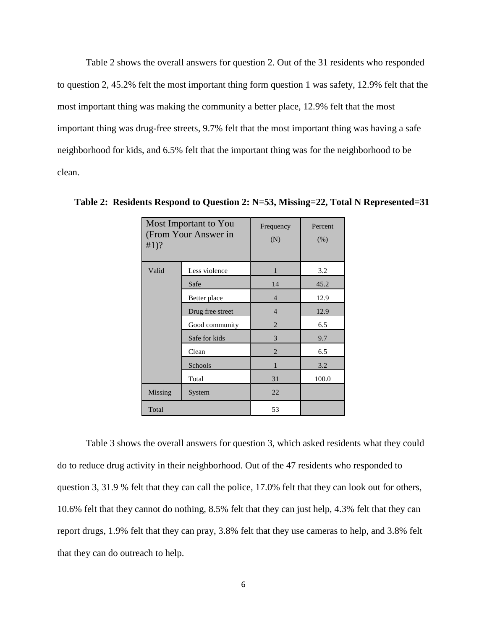Table 2 shows the overall answers for question 2. Out of the 31 residents who responded to question 2, 45.2% felt the most important thing form question 1 was safety, 12.9% felt that the most important thing was making the community a better place, 12.9% felt that the most important thing was drug-free streets, 9.7% felt that the most important thing was having a safe neighborhood for kids, and 6.5% felt that the important thing was for the neighborhood to be clean.

| Most Important to You<br>(From Your Answer in<br>$#1$ ? |                  | Frequency<br>(N) | Percent<br>(% ) |
|---------------------------------------------------------|------------------|------------------|-----------------|
| Valid                                                   | Less violence    | 1                | 3.2             |
|                                                         | Safe             | 14               | 45.2            |
|                                                         | Better place     | $\overline{4}$   | 12.9            |
|                                                         | Drug free street | $\overline{4}$   | 12.9            |
|                                                         | Good community   | $\overline{2}$   | 6.5             |
|                                                         | Safe for kids    | 3                | 9.7             |
|                                                         | Clean            | $\overline{2}$   | 6.5             |
|                                                         | Schools          | 1                | 3.2             |
|                                                         | Total            | 31               | 100.0           |
| Missing                                                 | System           | 22               |                 |
| Total                                                   |                  | 53               |                 |

**Table 2: Residents Respond to Question 2: N=53, Missing=22, Total N Represented=31**

Table 3 shows the overall answers for question 3, which asked residents what they could do to reduce drug activity in their neighborhood. Out of the 47 residents who responded to question 3, 31.9 % felt that they can call the police, 17.0% felt that they can look out for others, 10.6% felt that they cannot do nothing, 8.5% felt that they can just help, 4.3% felt that they can report drugs, 1.9% felt that they can pray, 3.8% felt that they use cameras to help, and 3.8% felt that they can do outreach to help.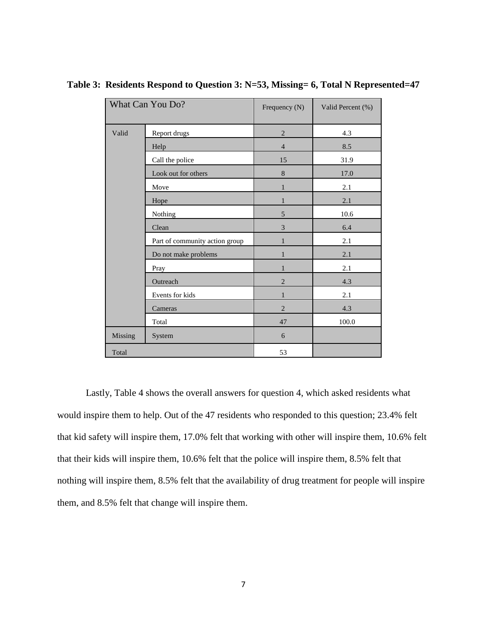| What Can You Do? |                                | Frequency (N)  | Valid Percent (%) |
|------------------|--------------------------------|----------------|-------------------|
| Valid            | Report drugs                   | $\sqrt{2}$     | 4.3               |
|                  | Help                           | $\overline{4}$ | 8.5               |
|                  | Call the police                | 15             | 31.9              |
|                  | Look out for others            | 8              | 17.0              |
|                  | Move                           | 1              | 2.1               |
|                  | Hope                           | 1              | 2.1               |
|                  | Nothing                        | 5              | 10.6              |
|                  | Clean                          | $\mathfrak{Z}$ | 6.4               |
|                  | Part of community action group | $\mathbf{1}$   | 2.1               |
|                  | Do not make problems           | $\mathbf{1}$   | 2.1               |
|                  | Pray                           | $\mathbf{1}$   | 2.1               |
|                  | Outreach                       | $\overline{2}$ | 4.3               |
|                  | Events for kids                | $\mathbf{1}$   | 2.1               |
|                  | Cameras                        | $\overline{2}$ | 4.3               |
|                  | Total                          | 47             | 100.0             |
| Missing          | System                         | 6              |                   |
| Total            |                                | 53             |                   |

**Table 3: Residents Respond to Question 3: N=53, Missing= 6, Total N Represented=47**

Lastly, Table 4 shows the overall answers for question 4, which asked residents what would inspire them to help. Out of the 47 residents who responded to this question; 23.4% felt that kid safety will inspire them, 17.0% felt that working with other will inspire them, 10.6% felt that their kids will inspire them, 10.6% felt that the police will inspire them, 8.5% felt that nothing will inspire them, 8.5% felt that the availability of drug treatment for people will inspire them, and 8.5% felt that change will inspire them.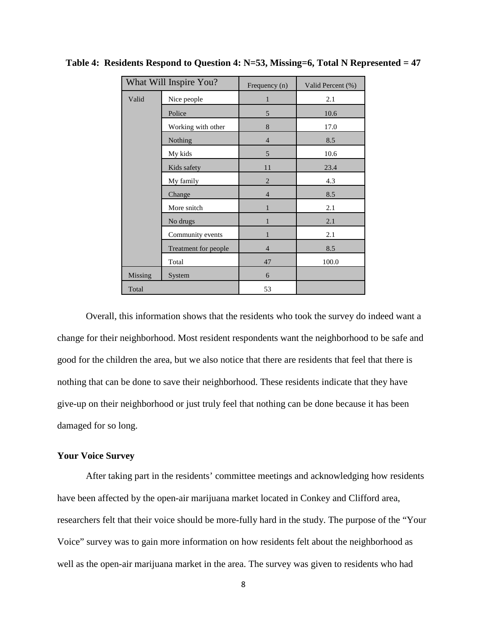| What Will Inspire You? |                      | Frequency (n)  | Valid Percent (%) |
|------------------------|----------------------|----------------|-------------------|
| Valid                  | Nice people          | 1              | 2.1               |
|                        | Police               | 5              | 10.6              |
|                        | Working with other   | 8              | 17.0              |
|                        | Nothing              | $\overline{4}$ | 8.5               |
|                        | My kids              | 5              | 10.6              |
|                        | Kids safety          | 11             | 23.4              |
|                        | My family            | $\overline{2}$ | 4.3               |
|                        | Change               | $\overline{4}$ | 8.5               |
|                        | More snitch          | 1              | 2.1               |
|                        | No drugs             | 1              | 2.1               |
|                        | Community events     | 1              | 2.1               |
|                        | Treatment for people | $\overline{4}$ | 8.5               |
|                        | Total                | 47             | 100.0             |
| Missing                | System               | 6              |                   |
| Total                  |                      | 53             |                   |

**Table 4: Residents Respond to Question 4: N=53, Missing=6, Total N Represented = 47**

Overall, this information shows that the residents who took the survey do indeed want a change for their neighborhood. Most resident respondents want the neighborhood to be safe and good for the children the area, but we also notice that there are residents that feel that there is nothing that can be done to save their neighborhood. These residents indicate that they have give-up on their neighborhood or just truly feel that nothing can be done because it has been damaged for so long.

## **Your Voice Survey**

After taking part in the residents' committee meetings and acknowledging how residents have been affected by the open-air marijuana market located in Conkey and Clifford area, researchers felt that their voice should be more-fully hard in the study. The purpose of the "Your Voice" survey was to gain more information on how residents felt about the neighborhood as well as the open-air marijuana market in the area. The survey was given to residents who had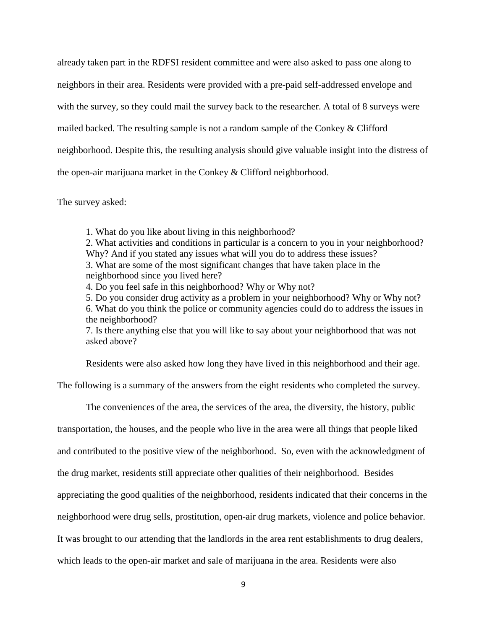already taken part in the RDFSI resident committee and were also asked to pass one along to neighbors in their area. Residents were provided with a pre-paid self-addressed envelope and with the survey, so they could mail the survey back to the researcher. A total of 8 surveys were mailed backed. The resulting sample is not a random sample of the Conkey & Clifford neighborhood. Despite this, the resulting analysis should give valuable insight into the distress of the open-air marijuana market in the Conkey & Clifford neighborhood.

## The survey asked:

1. What do you like about living in this neighborhood?

2. What activities and conditions in particular is a concern to you in your neighborhood? Why? And if you stated any issues what will you do to address these issues?

3. What are some of the most significant changes that have taken place in the neighborhood since you lived here?

4. Do you feel safe in this neighborhood? Why or Why not?

5. Do you consider drug activity as a problem in your neighborhood? Why or Why not? 6. What do you think the police or community agencies could do to address the issues in the neighborhood?

7. Is there anything else that you will like to say about your neighborhood that was not asked above?

Residents were also asked how long they have lived in this neighborhood and their age.

The following is a summary of the answers from the eight residents who completed the survey.

The conveniences of the area, the services of the area, the diversity, the history, public

transportation, the houses, and the people who live in the area were all things that people liked

and contributed to the positive view of the neighborhood. So, even with the acknowledgment of

the drug market, residents still appreciate other qualities of their neighborhood. Besides

appreciating the good qualities of the neighborhood, residents indicated that their concerns in the

neighborhood were drug sells, prostitution, open-air drug markets, violence and police behavior.

It was brought to our attending that the landlords in the area rent establishments to drug dealers,

which leads to the open-air market and sale of marijuana in the area. Residents were also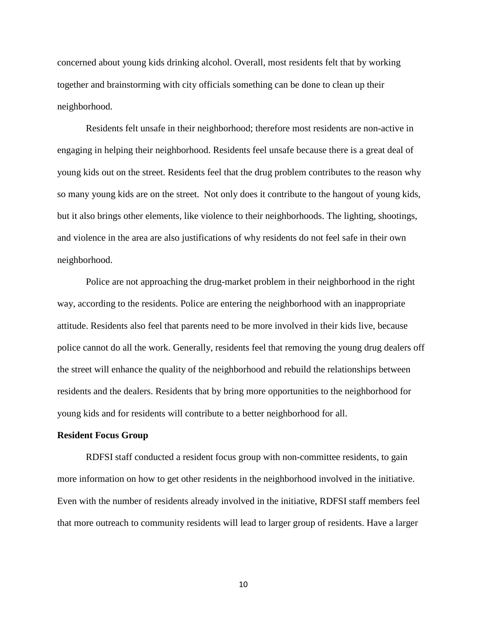concerned about young kids drinking alcohol. Overall, most residents felt that by working together and brainstorming with city officials something can be done to clean up their neighborhood.

Residents felt unsafe in their neighborhood; therefore most residents are non-active in engaging in helping their neighborhood. Residents feel unsafe because there is a great deal of young kids out on the street. Residents feel that the drug problem contributes to the reason why so many young kids are on the street. Not only does it contribute to the hangout of young kids, but it also brings other elements, like violence to their neighborhoods. The lighting, shootings, and violence in the area are also justifications of why residents do not feel safe in their own neighborhood.

Police are not approaching the drug-market problem in their neighborhood in the right way, according to the residents. Police are entering the neighborhood with an inappropriate attitude. Residents also feel that parents need to be more involved in their kids live, because police cannot do all the work. Generally, residents feel that removing the young drug dealers off the street will enhance the quality of the neighborhood and rebuild the relationships between residents and the dealers. Residents that by bring more opportunities to the neighborhood for young kids and for residents will contribute to a better neighborhood for all.

#### **Resident Focus Group**

RDFSI staff conducted a resident focus group with non-committee residents, to gain more information on how to get other residents in the neighborhood involved in the initiative. Even with the number of residents already involved in the initiative, RDFSI staff members feel that more outreach to community residents will lead to larger group of residents. Have a larger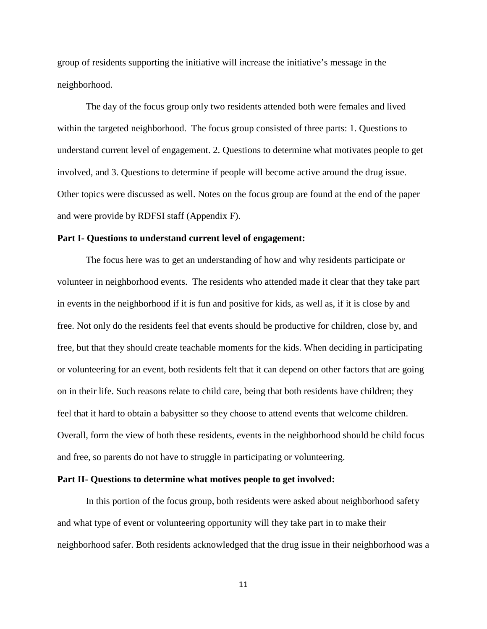group of residents supporting the initiative will increase the initiative's message in the neighborhood.

The day of the focus group only two residents attended both were females and lived within the targeted neighborhood. The focus group consisted of three parts: 1. Questions to understand current level of engagement. 2. Questions to determine what motivates people to get involved, and 3. Questions to determine if people will become active around the drug issue. Other topics were discussed as well. Notes on the focus group are found at the end of the paper and were provide by RDFSI staff (Appendix F).

#### **Part I- Questions to understand current level of engagement:**

The focus here was to get an understanding of how and why residents participate or volunteer in neighborhood events. The residents who attended made it clear that they take part in events in the neighborhood if it is fun and positive for kids, as well as, if it is close by and free. Not only do the residents feel that events should be productive for children, close by, and free, but that they should create teachable moments for the kids. When deciding in participating or volunteering for an event, both residents felt that it can depend on other factors that are going on in their life. Such reasons relate to child care, being that both residents have children; they feel that it hard to obtain a babysitter so they choose to attend events that welcome children. Overall, form the view of both these residents, events in the neighborhood should be child focus and free, so parents do not have to struggle in participating or volunteering.

#### **Part II- Questions to determine what motives people to get involved:**

 In this portion of the focus group, both residents were asked about neighborhood safety and what type of event or volunteering opportunity will they take part in to make their neighborhood safer. Both residents acknowledged that the drug issue in their neighborhood was a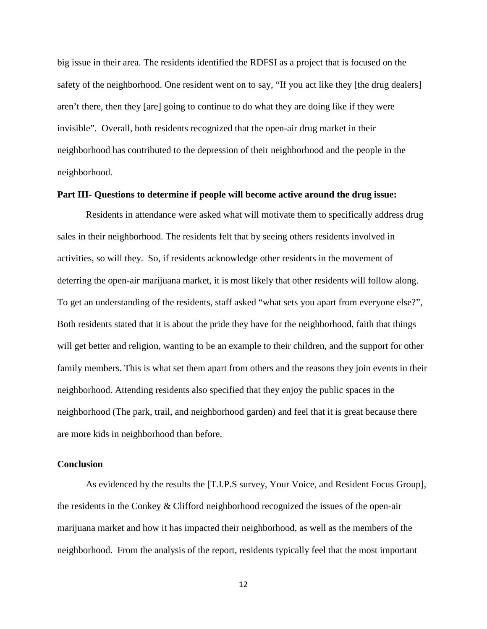big issue in their area. The residents identified the RDFSI as a project that is focused on the safety of the neighborhood. One resident went on to say, "If you act like they [the drug dealers] aren't there, then they [are] going to continue to do what they are doing like if they were invisible". Overall, both residents recognized that the open-air drug market in their neighborhood has contributed to the depression of their neighborhood and the people in the neighborhood.

#### **Part III- Questions to determine if people will become active around the drug issue:**

Residents in attendance were asked what will motivate them to specifically address drug sales in their neighborhood. The residents felt that by seeing others residents involved in activities, so will they. So, if residents acknowledge other residents in the movement of deterring the open-air marijuana market, it is most likely that other residents will follow along. To get an understanding of the residents, staff asked "what sets you apart from everyone else?", Both residents stated that it is about the pride they have for the neighborhood, faith that things will get better and religion, wanting to be an example to their children, and the support for other family members. This is what set them apart from others and the reasons they join events in their neighborhood. Attending residents also specified that they enjoy the public spaces in the neighborhood (The park, trail, and neighborhood garden) and feel that it is great because there are more kids in neighborhood than before.

#### **Conclusion**

As evidenced by the results the [T.I.P.S survey, Your Voice, and Resident Focus Group], the residents in the Conkey & Clifford neighborhood recognized the issues of the open-air marijuana market and how it has impacted their neighborhood, as well as the members of the neighborhood. From the analysis of the report, residents typically feel that the most important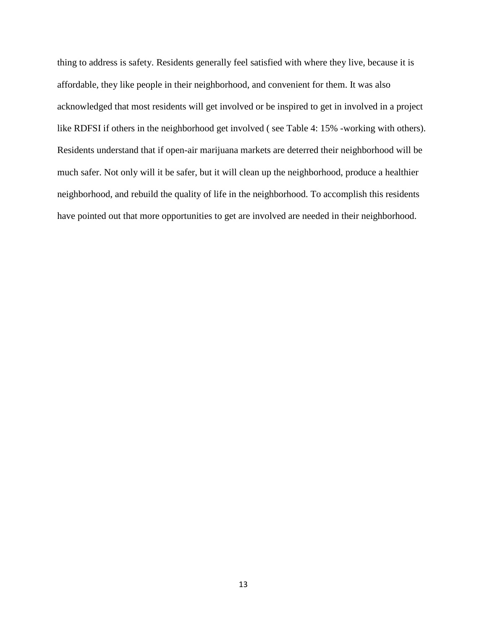thing to address is safety. Residents generally feel satisfied with where they live, because it is affordable, they like people in their neighborhood, and convenient for them. It was also acknowledged that most residents will get involved or be inspired to get in involved in a project like RDFSI if others in the neighborhood get involved ( see Table 4: 15% -working with others). Residents understand that if open-air marijuana markets are deterred their neighborhood will be much safer. Not only will it be safer, but it will clean up the neighborhood, produce a healthier neighborhood, and rebuild the quality of life in the neighborhood. To accomplish this residents have pointed out that more opportunities to get are involved are needed in their neighborhood.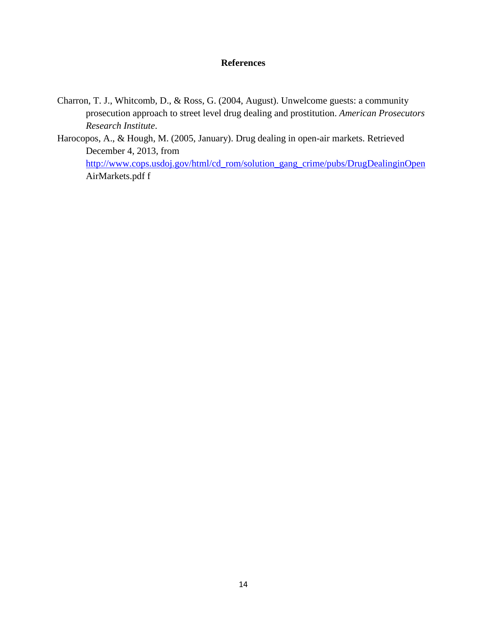# **References**

- Charron, T. J., Whitcomb, D., & Ross, G. (2004, August). Unwelcome guests: a community prosecution approach to street level drug dealing and prostitution. *American Prosecutors Research Institute*.
- Harocopos, A., & Hough, M. (2005, January). Drug dealing in open-air markets. Retrieved December 4, 2013, from [http://www.cops.usdoj.gov/html/cd\\_rom/solution\\_gang\\_crime/pubs/DrugDealinginOpen](http://www.cops.usdoj.gov/html/cd_rom/solution_gang_crime/pubs/DrugDealinginOpen) AirMarkets.pdf f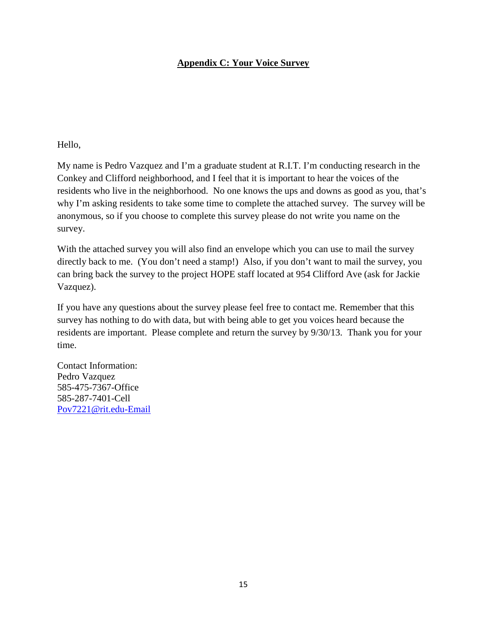# **Appendix C: Your Voice Survey**

Hello,

My name is Pedro Vazquez and I'm a graduate student at R.I.T. I'm conducting research in the Conkey and Clifford neighborhood, and I feel that it is important to hear the voices of the residents who live in the neighborhood. No one knows the ups and downs as good as you, that's why I'm asking residents to take some time to complete the attached survey. The survey will be anonymous, so if you choose to complete this survey please do not write you name on the survey.

With the attached survey you will also find an envelope which you can use to mail the survey directly back to me. (You don't need a stamp!) Also, if you don't want to mail the survey, you can bring back the survey to the project HOPE staff located at 954 Clifford Ave (ask for Jackie Vazquez).

If you have any questions about the survey please feel free to contact me. Remember that this survey has nothing to do with data, but with being able to get you voices heard because the residents are important. Please complete and return the survey by 9/30/13. Thank you for your time.

Contact Information: Pedro Vazquez 585-475-7367-Office 585-287-7401-Cell [Pov7221@rit.edu-Email](mailto:Pov7221@rit.edu-Email)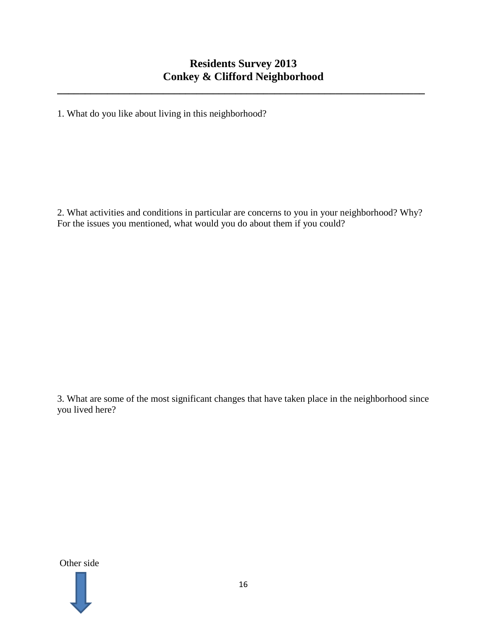**\_\_\_\_\_\_\_\_\_\_\_\_\_\_\_\_\_\_\_\_\_\_\_\_\_\_\_\_\_\_\_\_\_\_\_\_\_\_\_\_\_\_\_\_\_\_\_\_\_\_\_\_\_\_\_\_\_\_\_\_\_\_\_\_\_\_**

1. What do you like about living in this neighborhood?

2. What activities and conditions in particular are concerns to you in your neighborhood? Why? For the issues you mentioned, what would you do about them if you could?

3. What are some of the most significant changes that have taken place in the neighborhood since you lived here?

Other side